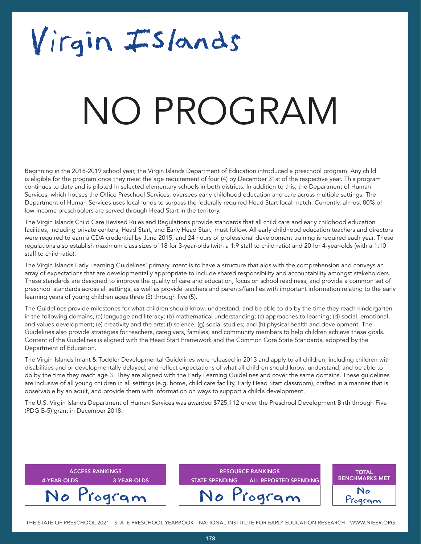## Virgin Islands

### NATA T NO PROGRAM

Beginning in the 2018-2019 school year, the Virgin Islands Department of Education introduced a preschool program. Any child is eligible for the program once they meet the age requirement of four (4) by December 31st of the respective year. This program continues to date and is piloted in selected elementary schools in both districts. In addition to this, the Department of Human Services, which houses the Office Preschool Services, oversees early childhood education and care across multiple settings. The Department of Human Services uses local funds to surpass the federally required Head Start local match. Currently, almost 80% of low-income preschoolers are served through Head Start in the territory.

The Virgin Islands Child Care Revised Rules and Regulations provide standards that all child care and early childhood education facilities, including private centers, Head Start, and Early Head Start, must follow. All early childhood education teachers and directors were required to earn a CDA credential by June 2015, and 24 hours of professional development training is required each year. These regulations also establish maximum class sizes of 18 for 3-year-olds (with a 1:9 staff to child ratio) and 20 for 4-year-olds (with a 1:10 staff to child ratio).

The Virgin Islands Early Learning Guidelines' primary intent is to have a structure that aids with the comprehension and conveys an array of expectations that are developmentally appropriate to include shared responsibility and accountability amongst stakeholders. These standards are designed to improve the quality of care and education, focus on school readiness, and provide a common set of preschool standards across all settings, as well as provide teachers and parents/families with important information relating to the early learning years of young children ages three (3) through five (5).

The Guidelines provide milestones for what children should know, understand, and be able to do by the time they reach kindergarten in the following domains, (a) language and literacy; (b) mathematical understanding; (c) approaches to learning; (d) social, emotional, and values development; (e) creativity and the arts; (f) science; (g) social studies; and (h) physical health and development. The Guidelines also provide strategies for teachers, caregivers, families, and community members to help children achieve these goals. Content of the Guidelines is aligned with the Head Start Framework and the Common Core State Standards, adopted by the Department of Education.

The Virgin Islands Infant & Toddler Developmental Guidelines were released in 2013 and apply to all children, including children with disabilities and or developmentally delayed, and reflect expectations of what all children should know, understand, and be able to do by the time they reach age 3. They are aligned with the Early Learning Guidelines and cover the same domains. These guidelines are inclusive of all young children in all settings (e.g. home, child care facility, Early Head Start classroom), crafted in a manner that is observable by an adult, and provide them with information on ways to support a child's development.

The U.S. Virgin Islands Department of Human Services was awarded \$725,112 under the Preschool Development Birth through Five (PDG B-5) grant in December 2018.

| <b>ACCESS RANKINGS</b><br>4-YEAR-OLDS<br>3-YEAR-OLDS | <b>RESOURCE RANKINGS</b><br><b>ALL REPORTED SPENDING</b><br><b>STATE SPENDING</b> | <b>TOTAL</b><br><b>BENCHMARKS MET</b> |
|------------------------------------------------------|-----------------------------------------------------------------------------------|---------------------------------------|
| No Program                                           | No Program                                                                        | No<br>Program                         |

THE STATE OF PRESCHOOL 2021 - STATE PRESCHOOL YEARBOOK - NATIONAL INSTITUTE FOR EARLY EDUCATION RESEARCH - WWW.NIEER.ORG